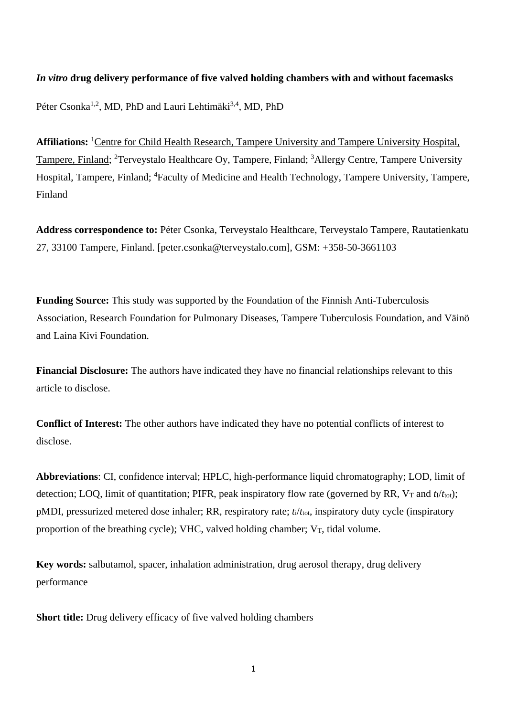# *In vitro* **drug delivery performance of five valved holding chambers with and without facemasks**

Péter Csonka<sup>1,2</sup>, MD, PhD and Lauri Lehtimäki<sup>3,4</sup>, MD, PhD

Affiliations: <sup>1</sup>Centre for Child Health Research, Tampere University and Tampere University Hospital, Tampere, Finland; <sup>2</sup>Terveystalo Healthcare Oy, Tampere, Finland; <sup>3</sup>Allergy Centre, Tampere University Hospital, Tampere, Finland; <sup>4</sup>Faculty of Medicine and Health Technology, Tampere University, Tampere, Finland

**Address correspondence to:** Péter Csonka, Terveystalo Healthcare, Terveystalo Tampere, Rautatienkatu 27, 33100 Tampere, Finland. [peter.csonka@terveystalo.com], GSM: +358-50-3661103

**Funding Source:** This study was supported by the Foundation of the Finnish Anti-Tuberculosis Association, Research Foundation for Pulmonary Diseases, Tampere Tuberculosis Foundation, and Väinö and Laina Kivi Foundation.

**Financial Disclosure:** The authors have indicated they have no financial relationships relevant to this article to disclose.

**Conflict of Interest:** The other authors have indicated they have no potential conflicts of interest to disclose.

**Abbreviations**: CI, confidence interval; HPLC, high-performance liquid chromatography; LOD, limit of detection; LOO, limit of quantitation; PIFR, peak inspiratory flow rate (governed by RR,  $V_T$  and  $t_1/t_{\text{tot}}$ ); pMDI, pressurized metered dose inhaler; RR, respiratory rate; *t*i/*t*tot, inspiratory duty cycle (inspiratory proportion of the breathing cycle); VHC, valved holding chamber;  $V_T$ , tidal volume.

**Key words:** salbutamol, spacer, inhalation administration, drug aerosol therapy, drug delivery performance

**Short title:** Drug delivery efficacy of five valved holding chambers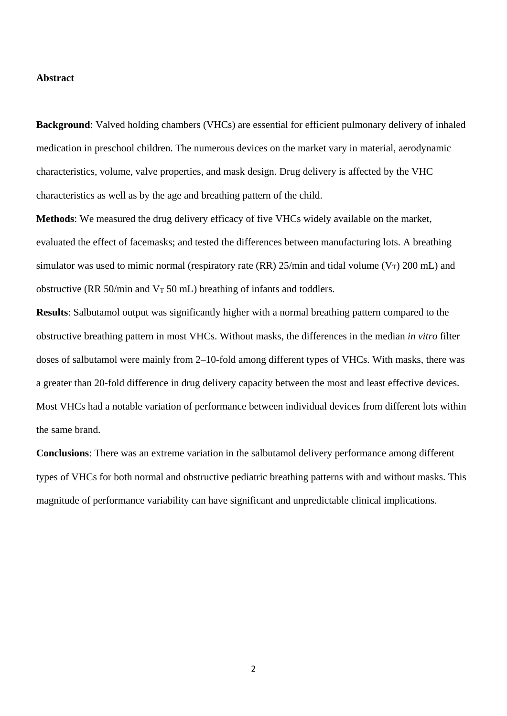## **Abstract**

**Background**: Valved holding chambers (VHCs) are essential for efficient pulmonary delivery of inhaled medication in preschool children. The numerous devices on the market vary in material, aerodynamic characteristics, volume, valve properties, and mask design. Drug delivery is affected by the VHC characteristics as well as by the age and breathing pattern of the child.

**Methods**: We measured the drug delivery efficacy of five VHCs widely available on the market, evaluated the effect of facemasks; and tested the differences between manufacturing lots. A breathing simulator was used to mimic normal (respiratory rate (RR)  $25/\text{min}$  and tidal volume (V<sub>T</sub>) 200 mL) and obstructive (RR 50/min and  $V_T$  50 mL) breathing of infants and toddlers.

**Results**: Salbutamol output was significantly higher with a normal breathing pattern compared to the obstructive breathing pattern in most VHCs. Without masks, the differences in the median *in vitro* filter doses of salbutamol were mainly from 2–10-fold among different types of VHCs. With masks, there was a greater than 20-fold difference in drug delivery capacity between the most and least effective devices. Most VHCs had a notable variation of performance between individual devices from different lots within the same brand.

**Conclusions**: There was an extreme variation in the salbutamol delivery performance among different types of VHCs for both normal and obstructive pediatric breathing patterns with and without masks. This magnitude of performance variability can have significant and unpredictable clinical implications.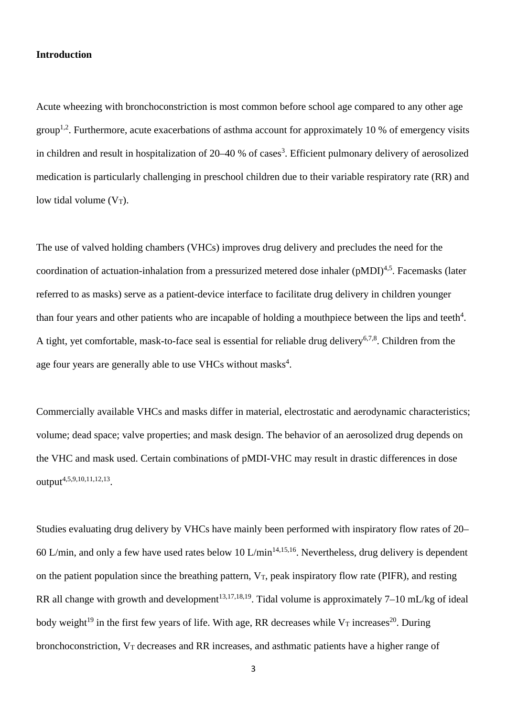#### **Introduction**

Acute wheezing with bronchoconstriction is most common before school age compared to any other age group<sup>1,2</sup>. Furthermore, acute exacerbations of asthma account for approximately 10 % of emergency visits in children and result in hospitalization of 20–40 % of cases<sup>3</sup>. Efficient pulmonary delivery of aerosolized medication is particularly challenging in preschool children due to their variable respiratory rate (RR) and low tidal volume  $(V_T)$ .

The use of valved holding chambers (VHCs) improves drug delivery and precludes the need for the coordination of actuation-inhalation from a pressurized metered dose inhaler  $(pMDI)^{4,5}$ . Facemasks (later referred to as masks) serve as a patient-device interface to facilitate drug delivery in children younger than four years and other patients who are incapable of holding a mouthpiece between the lips and teeth $4$ . A tight, yet comfortable, mask-to-face seal is essential for reliable drug delivery<sup>6,7,8</sup>. Children from the age four years are generally able to use VHCs without masks<sup>4</sup>.

Commercially available VHCs and masks differ in material, electrostatic and aerodynamic characteristics; volume; dead space; valve properties; and mask design. The behavior of an aerosolized drug depends on the VHC and mask used. Certain combinations of pMDI-VHC may result in drastic differences in dose output<sup>4,5,9,10,11,12,13</sup>.

Studies evaluating drug delivery by VHCs have mainly been performed with inspiratory flow rates of 20– 60 L/min, and only a few have used rates below 10 L/min<sup>14,15,16</sup>. Nevertheless, drug delivery is dependent on the patient population since the breathing pattern,  $V_T$ , peak inspiratory flow rate (PIFR), and resting RR all change with growth and development<sup>13,17,18,19</sup>. Tidal volume is approximately  $7-10$  mL/kg of ideal body weight<sup>19</sup> in the first few years of life. With age, RR decreases while  $V_T$  increases<sup>20</sup>. During bronchoconstriction, V<sub>T</sub> decreases and RR increases, and asthmatic patients have a higher range of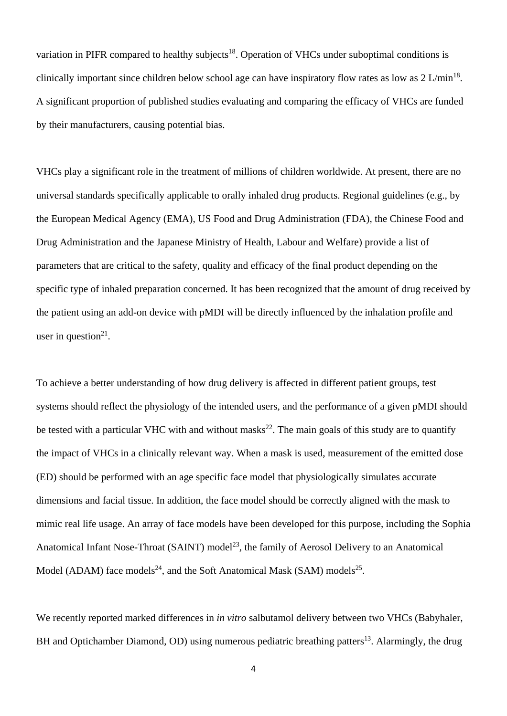variation in PIFR compared to healthy subjects<sup>18</sup>. Operation of VHCs under suboptimal conditions is clinically important since children below school age can have inspiratory flow rates as low as  $2 \text{ L/min}^{18}$ . A significant proportion of published studies evaluating and comparing the efficacy of VHCs are funded by their manufacturers, causing potential bias.

VHCs play a significant role in the treatment of millions of children worldwide. At present, there are no universal standards specifically applicable to orally inhaled drug products. Regional guidelines (e.g., by the European Medical Agency (EMA), US Food and Drug Administration (FDA), the Chinese Food and Drug Administration and the Japanese Ministry of Health, Labour and Welfare) provide a list of parameters that are critical to the safety, quality and efficacy of the final product depending on the specific type of inhaled preparation concerned. It has been recognized that the amount of drug received by the patient using an add-on device with pMDI will be directly influenced by the inhalation profile and user in question $21$ .

To achieve a better understanding of how drug delivery is affected in different patient groups, test systems should reflect the physiology of the intended users, and the performance of a given pMDI should be tested with a particular VHC with and without masks<sup>22</sup>. The main goals of this study are to quantify the impact of VHCs in a clinically relevant way. When a mask is used, measurement of the emitted dose (ED) should be performed with an age specific face model that physiologically simulates accurate dimensions and facial tissue. In addition, the face model should be correctly aligned with the mask to mimic real life usage. An array of face models have been developed for this purpose, including the Sophia Anatomical Infant Nose-Throat (SAINT) model<sup>23</sup>, the family of Aerosol Delivery to an Anatomical Model (ADAM) face models<sup>24</sup>, and the Soft Anatomical Mask (SAM) models<sup>25</sup>.

We recently reported marked differences in *in vitro* salbutamol delivery between two VHCs (Babyhaler, BH and Optichamber Diamond, OD) using numerous pediatric breathing patters<sup>13</sup>. Alarmingly, the drug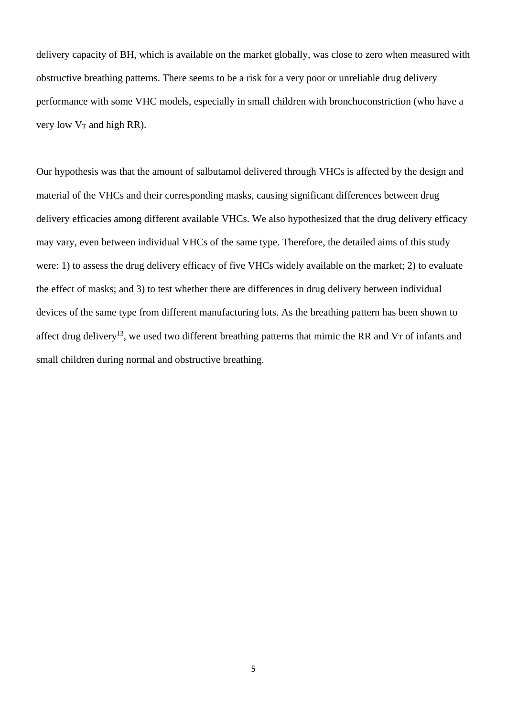delivery capacity of BH, which is available on the market globally, was close to zero when measured with obstructive breathing patterns. There seems to be a risk for a very poor or unreliable drug delivery performance with some VHC models, especially in small children with bronchoconstriction (who have a very low  $V_T$  and high RR).

Our hypothesis was that the amount of salbutamol delivered through VHCs is affected by the design and material of the VHCs and their corresponding masks, causing significant differences between drug delivery efficacies among different available VHCs. We also hypothesized that the drug delivery efficacy may vary, even between individual VHCs of the same type. Therefore, the detailed aims of this study were: 1) to assess the drug delivery efficacy of five VHCs widely available on the market; 2) to evaluate the effect of masks; and 3) to test whether there are differences in drug delivery between individual devices of the same type from different manufacturing lots. As the breathing pattern has been shown to affect drug delivery<sup>13</sup>, we used two different breathing patterns that mimic the RR and V<sub>T</sub> of infants and small children during normal and obstructive breathing.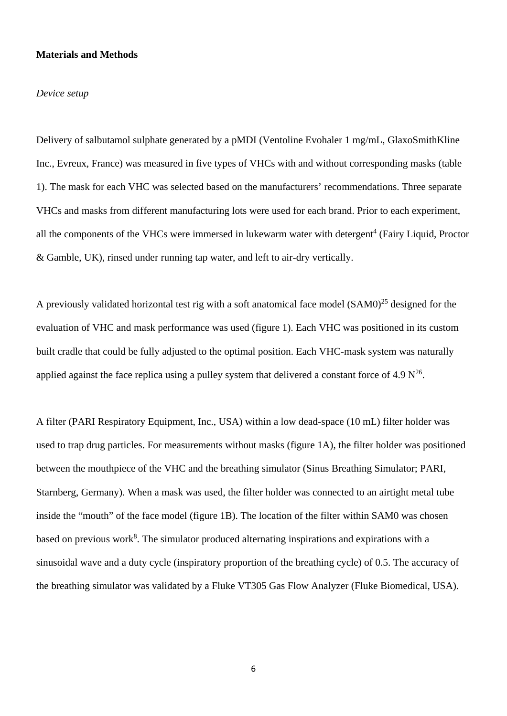## **Materials and Methods**

#### *Device setup*

Delivery of salbutamol sulphate generated by a pMDI (Ventoline Evohaler 1 mg/mL, GlaxoSmithKline Inc., Evreux, France) was measured in five types of VHCs with and without corresponding masks (table 1). The mask for each VHC was selected based on the manufacturers' recommendations. Three separate VHCs and masks from different manufacturing lots were used for each brand. Prior to each experiment, all the components of the VHCs were immersed in lukewarm water with detergent<sup>4</sup> (Fairy Liquid, Proctor & Gamble, UK), rinsed under running tap water, and left to air-dry vertically.

A previously validated horizontal test rig with a soft anatomical face model  $(SAM0)^{25}$  designed for the evaluation of VHC and mask performance was used (figure 1). Each VHC was positioned in its custom built cradle that could be fully adjusted to the optimal position. Each VHC-mask system was naturally applied against the face replica using a pulley system that delivered a constant force of 4.9  $N^{26}$ .

A filter (PARI Respiratory Equipment, Inc., USA) within a low dead-space (10 mL) filter holder was used to trap drug particles. For measurements without masks (figure 1A), the filter holder was positioned between the mouthpiece of the VHC and the breathing simulator (Sinus Breathing Simulator; PARI, Starnberg, Germany). When a mask was used, the filter holder was connected to an airtight metal tube inside the "mouth" of the face model (figure 1B). The location of the filter within SAM0 was chosen based on previous work<sup>8</sup>. The simulator produced alternating inspirations and expirations with a sinusoidal wave and a duty cycle (inspiratory proportion of the breathing cycle) of 0.5. The accuracy of the breathing simulator was validated by a Fluke VT305 Gas Flow Analyzer (Fluke Biomedical, USA).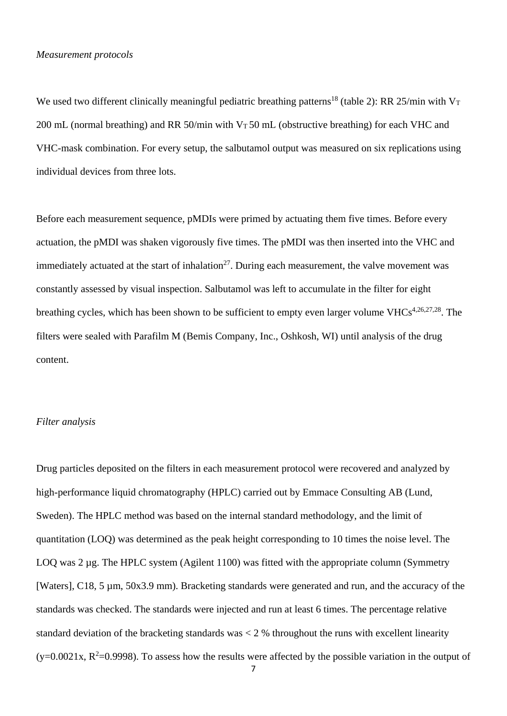#### *Measurement protocols*

We used two different clinically meaningful pediatric breathing patterns<sup>18</sup> (table 2): RR 25/min with V<sub>T</sub> 200 mL (normal breathing) and RR 50/min with  $V<sub>T</sub>$  50 mL (obstructive breathing) for each VHC and VHC-mask combination. For every setup, the salbutamol output was measured on six replications using individual devices from three lots.

Before each measurement sequence, pMDIs were primed by actuating them five times. Before every actuation, the pMDI was shaken vigorously five times. The pMDI was then inserted into the VHC and immediately actuated at the start of inhalation<sup>27</sup>. During each measurement, the valve movement was constantly assessed by visual inspection. Salbutamol was left to accumulate in the filter for eight breathing cycles, which has been shown to be sufficient to empty even larger volume VHCs<sup>4,26,27,28</sup>. The filters were sealed with Parafilm M (Bemis Company, Inc., Oshkosh, WI) until analysis of the drug content.

#### *Filter analysis*

Drug particles deposited on the filters in each measurement protocol were recovered and analyzed by high-performance liquid chromatography (HPLC) carried out by Emmace Consulting AB (Lund, Sweden). The HPLC method was based on the internal standard methodology, and the limit of quantitation (LOQ) was determined as the peak height corresponding to 10 times the noise level. The LOQ was 2 µg. The HPLC system (Agilent 1100) was fitted with the appropriate column (Symmetry [Waters], C18, 5 µm, 50x3.9 mm). Bracketing standards were generated and run, and the accuracy of the standards was checked. The standards were injected and run at least 6 times. The percentage relative standard deviation of the bracketing standards was < 2 % throughout the runs with excellent linearity  $(y=0.0021x, R<sup>2</sup>=0.9998)$ . To assess how the results were affected by the possible variation in the output of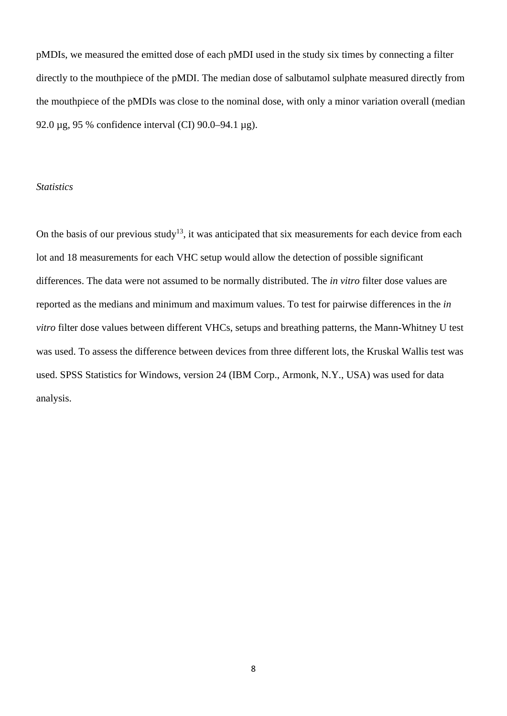pMDIs, we measured the emitted dose of each pMDI used in the study six times by connecting a filter directly to the mouthpiece of the pMDI. The median dose of salbutamol sulphate measured directly from the mouthpiece of the pMDIs was close to the nominal dose, with only a minor variation overall (median 92.0 µg, 95 % confidence interval (CI) 90.0–94.1 µg).

## *Statistics*

On the basis of our previous study<sup>13</sup>, it was anticipated that six measurements for each device from each lot and 18 measurements for each VHC setup would allow the detection of possible significant differences. The data were not assumed to be normally distributed. The *in vitro* filter dose values are reported as the medians and minimum and maximum values. To test for pairwise differences in the *in vitro* filter dose values between different VHCs, setups and breathing patterns, the Mann-Whitney U test was used. To assess the difference between devices from three different lots, the Kruskal Wallis test was used. SPSS Statistics for Windows, version 24 (IBM Corp., Armonk, N.Y., USA) was used for data analysis.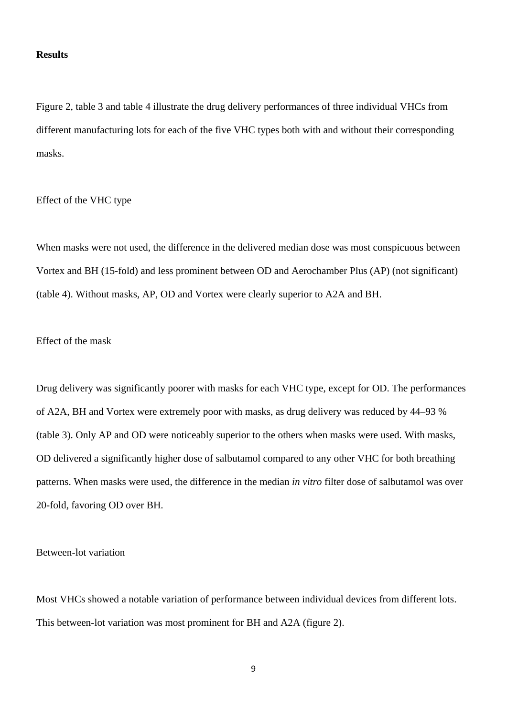## **Results**

Figure 2, table 3 and table 4 illustrate the drug delivery performances of three individual VHCs from different manufacturing lots for each of the five VHC types both with and without their corresponding masks.

Effect of the VHC type

When masks were not used, the difference in the delivered median dose was most conspicuous between Vortex and BH (15-fold) and less prominent between OD and Aerochamber Plus (AP) (not significant) (table 4). Without masks, AP, OD and Vortex were clearly superior to A2A and BH.

# Effect of the mask

Drug delivery was significantly poorer with masks for each VHC type, except for OD. The performances of A2A, BH and Vortex were extremely poor with masks, as drug delivery was reduced by 44–93 % (table 3). Only AP and OD were noticeably superior to the others when masks were used. With masks, OD delivered a significantly higher dose of salbutamol compared to any other VHC for both breathing patterns. When masks were used, the difference in the median *in vitro* filter dose of salbutamol was over 20-fold, favoring OD over BH.

Between-lot variation

Most VHCs showed a notable variation of performance between individual devices from different lots. This between-lot variation was most prominent for BH and A2A (figure 2).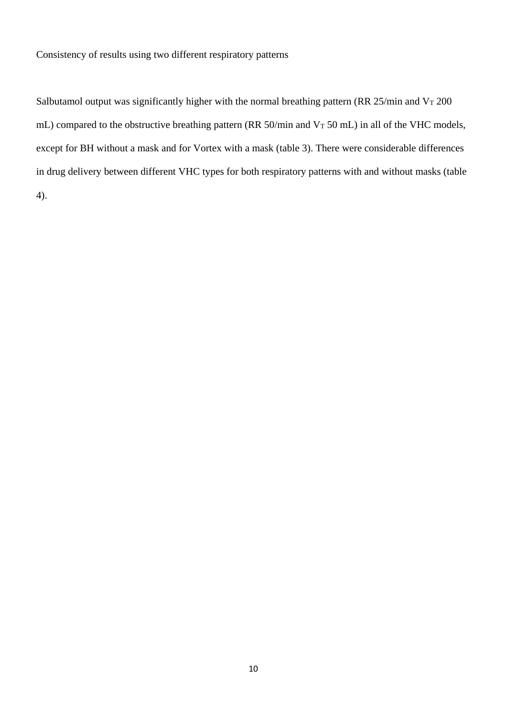Consistency of results using two different respiratory patterns

Salbutamol output was significantly higher with the normal breathing pattern (RR 25/min and  $V<sub>T</sub>$  200 mL) compared to the obstructive breathing pattern (RR  $50/\text{min}$  and  $V_T$  50 mL) in all of the VHC models, except for BH without a mask and for Vortex with a mask (table 3). There were considerable differences in drug delivery between different VHC types for both respiratory patterns with and without masks (table 4).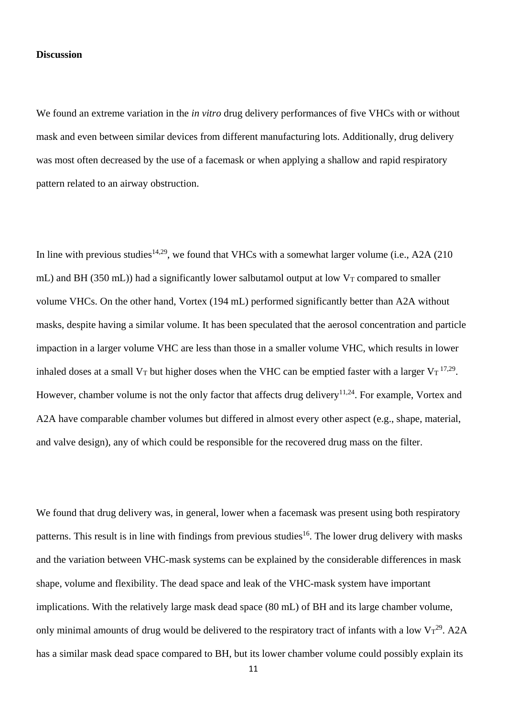#### **Discussion**

We found an extreme variation in the *in vitro* drug delivery performances of five VHCs with or without mask and even between similar devices from different manufacturing lots. Additionally, drug delivery was most often decreased by the use of a facemask or when applying a shallow and rapid respiratory pattern related to an airway obstruction.

In line with previous studies<sup>14,29</sup>, we found that VHCs with a somewhat larger volume (i.e., A2A (210) mL) and BH (350 mL)) had a significantly lower salbutamol output at low  $V_T$  compared to smaller volume VHCs. On the other hand, Vortex (194 mL) performed significantly better than A2A without masks, despite having a similar volume. It has been speculated that the aerosol concentration and particle impaction in a larger volume VHC are less than those in a smaller volume VHC, which results in lower inhaled doses at a small V<sub>T</sub> but higher doses when the VHC can be emptied faster with a larger V<sub>T</sub><sup>17,29</sup>. However, chamber volume is not the only factor that affects drug delivery<sup>11,24</sup>. For example, Vortex and A2A have comparable chamber volumes but differed in almost every other aspect (e.g., shape, material, and valve design), any of which could be responsible for the recovered drug mass on the filter.

We found that drug delivery was, in general, lower when a facemask was present using both respiratory patterns. This result is in line with findings from previous studies<sup>16</sup>. The lower drug delivery with masks and the variation between VHC-mask systems can be explained by the considerable differences in mask shape, volume and flexibility. The dead space and leak of the VHC-mask system have important implications. With the relatively large mask dead space (80 mL) of BH and its large chamber volume, only minimal amounts of drug would be delivered to the respiratory tract of infants with a low  $V_T^{29}$ . A2A has a similar mask dead space compared to BH, but its lower chamber volume could possibly explain its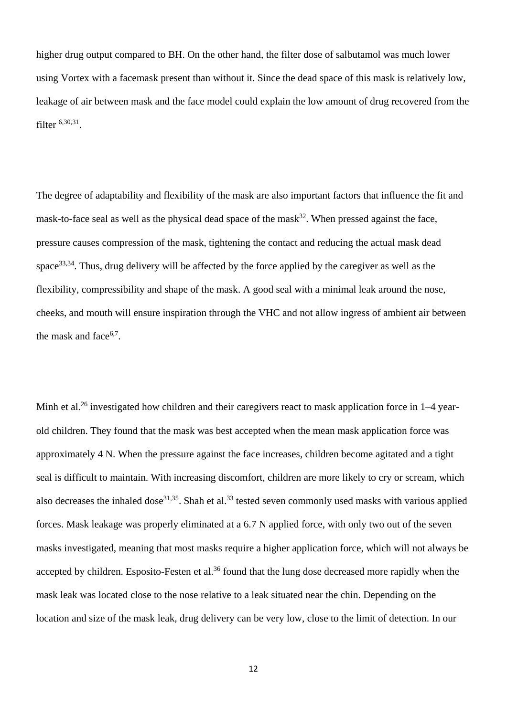higher drug output compared to BH. On the other hand, the filter dose of salbutamol was much lower using Vortex with a facemask present than without it. Since the dead space of this mask is relatively low, leakage of air between mask and the face model could explain the low amount of drug recovered from the filter 6,30,31.

The degree of adaptability and flexibility of the mask are also important factors that influence the fit and mask-to-face seal as well as the physical dead space of the mask $32$ . When pressed against the face, pressure causes compression of the mask, tightening the contact and reducing the actual mask dead space33,34. Thus, drug delivery will be affected by the force applied by the caregiver as well as the flexibility, compressibility and shape of the mask. A good seal with a minimal leak around the nose, cheeks, and mouth will ensure inspiration through the VHC and not allow ingress of ambient air between the mask and face $6,7$ .

Minh et al.<sup>26</sup> investigated how children and their caregivers react to mask application force in 1–4 yearold children. They found that the mask was best accepted when the mean mask application force was approximately 4 N. When the pressure against the face increases, children become agitated and a tight seal is difficult to maintain. With increasing discomfort, children are more likely to cry or scream, which also decreases the inhaled dose<sup>31,35</sup>. Shah et al.<sup>33</sup> tested seven commonly used masks with various applied forces. Mask leakage was properly eliminated at a 6.7 N applied force, with only two out of the seven masks investigated, meaning that most masks require a higher application force, which will not always be accepted by children. Esposito-Festen et al.<sup>36</sup> found that the lung dose decreased more rapidly when the mask leak was located close to the nose relative to a leak situated near the chin. Depending on the location and size of the mask leak, drug delivery can be very low, close to the limit of detection. In our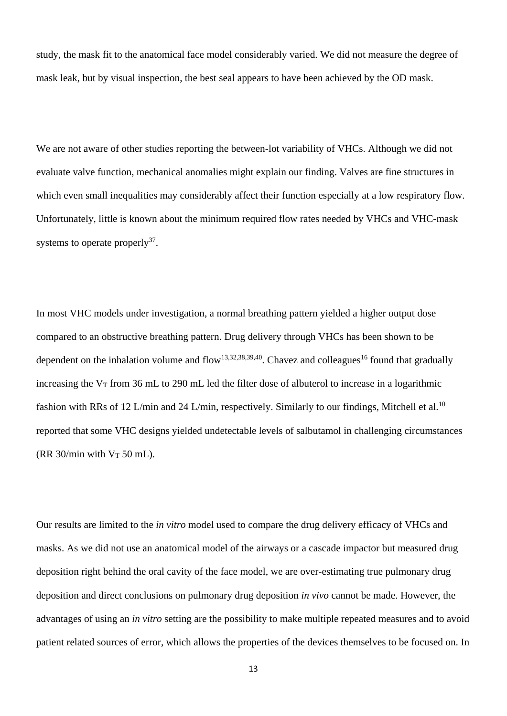study, the mask fit to the anatomical face model considerably varied. We did not measure the degree of mask leak, but by visual inspection, the best seal appears to have been achieved by the OD mask.

We are not aware of other studies reporting the between-lot variability of VHCs. Although we did not evaluate valve function, mechanical anomalies might explain our finding. Valves are fine structures in which even small inequalities may considerably affect their function especially at a low respiratory flow. Unfortunately, little is known about the minimum required flow rates needed by VHCs and VHC-mask systems to operate properly<sup>37</sup>.

In most VHC models under investigation, a normal breathing pattern yielded a higher output dose compared to an obstructive breathing pattern. Drug delivery through VHCs has been shown to be dependent on the inhalation volume and flow<sup>13,32,38,39,40</sup>. Chavez and colleagues<sup>16</sup> found that gradually increasing the  $V_T$  from 36 mL to 290 mL led the filter dose of albuterol to increase in a logarithmic fashion with RRs of 12 L/min and 24 L/min, respectively. Similarly to our findings, Mitchell et al.<sup>10</sup> reported that some VHC designs yielded undetectable levels of salbutamol in challenging circumstances (RR  $30/\text{min}$  with  $V_T$  50 mL).

Our results are limited to the *in vitro* model used to compare the drug delivery efficacy of VHCs and masks. As we did not use an anatomical model of the airways or a cascade impactor but measured drug deposition right behind the oral cavity of the face model, we are over-estimating true pulmonary drug deposition and direct conclusions on pulmonary drug deposition *in vivo* cannot be made. However, the advantages of using an *in vitro* setting are the possibility to make multiple repeated measures and to avoid patient related sources of error, which allows the properties of the devices themselves to be focused on. In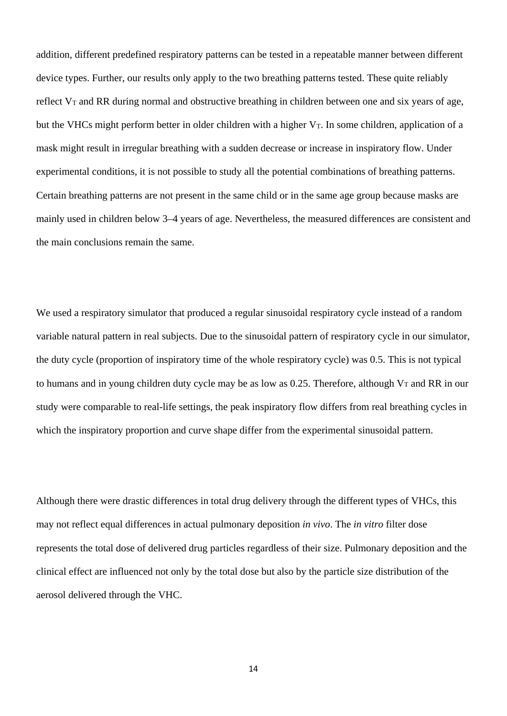addition, different predefined respiratory patterns can be tested in a repeatable manner between different device types. Further, our results only apply to the two breathing patterns tested. These quite reliably reflect  $V_T$  and RR during normal and obstructive breathing in children between one and six years of age, but the VHCs might perform better in older children with a higher  $V_T$ . In some children, application of a mask might result in irregular breathing with a sudden decrease or increase in inspiratory flow. Under experimental conditions, it is not possible to study all the potential combinations of breathing patterns. Certain breathing patterns are not present in the same child or in the same age group because masks are mainly used in children below 3–4 years of age. Nevertheless, the measured differences are consistent and the main conclusions remain the same.

We used a respiratory simulator that produced a regular sinusoidal respiratory cycle instead of a random variable natural pattern in real subjects. Due to the sinusoidal pattern of respiratory cycle in our simulator, the duty cycle (proportion of inspiratory time of the whole respiratory cycle) was 0.5. This is not typical to humans and in young children duty cycle may be as low as 0.25. Therefore, although  $V_T$  and RR in our study were comparable to real-life settings, the peak inspiratory flow differs from real breathing cycles in which the inspiratory proportion and curve shape differ from the experimental sinusoidal pattern.

Although there were drastic differences in total drug delivery through the different types of VHCs, this may not reflect equal differences in actual pulmonary deposition *in vivo*. The *in vitro* filter dose represents the total dose of delivered drug particles regardless of their size. Pulmonary deposition and the clinical effect are influenced not only by the total dose but also by the particle size distribution of the aerosol delivered through the VHC.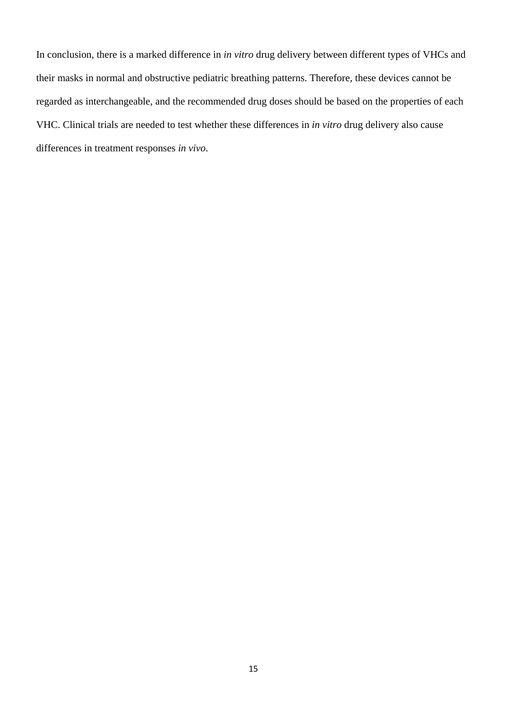In conclusion, there is a marked difference in *in vitro* drug delivery between different types of VHCs and their masks in normal and obstructive pediatric breathing patterns. Therefore, these devices cannot be regarded as interchangeable, and the recommended drug doses should be based on the properties of each VHC. Clinical trials are needed to test whether these differences in *in vitro* drug delivery also cause differences in treatment responses *in vivo*.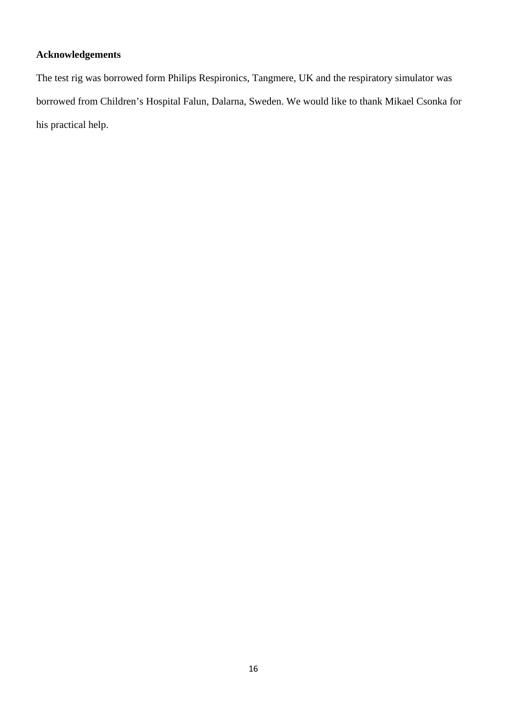# **Acknowledgements**

The test rig was borrowed form Philips Respironics, Tangmere, UK and the respiratory simulator was borrowed from Children's Hospital Falun, Dalarna, Sweden. We would like to thank Mikael Csonka for his practical help.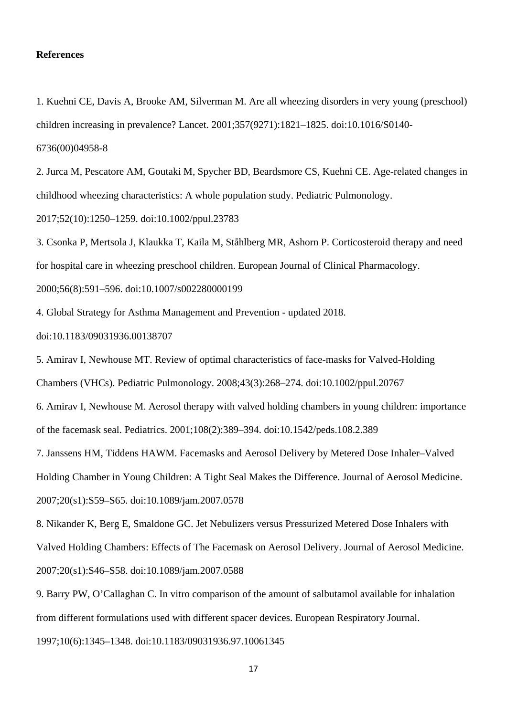#### **References**

1. Kuehni CE, Davis A, Brooke AM, Silverman M. Are all wheezing disorders in very young (preschool) children increasing in prevalence? Lancet. 2001;357(9271):1821–1825. doi:10.1016/S0140-

6736(00)04958-8

2. Jurca M, Pescatore AM, Goutaki M, Spycher BD, Beardsmore CS, Kuehni CE. Age-related changes in childhood wheezing characteristics: A whole population study. Pediatric Pulmonology.

2017;52(10):1250–1259. doi:10.1002/ppul.23783

3. Csonka P, Mertsola J, Klaukka T, Kaila M, Ståhlberg MR, Ashorn P. Corticosteroid therapy and need for hospital care in wheezing preschool children. European Journal of Clinical Pharmacology.

2000;56(8):591–596. doi:10.1007/s002280000199

4. Global Strategy for Asthma Management and Prevention - updated 2018.

doi:10.1183/09031936.00138707

5. Amirav I, Newhouse MT. Review of optimal characteristics of face-masks for Valved-Holding

Chambers (VHCs). Pediatric Pulmonology. 2008;43(3):268–274. doi:10.1002/ppul.20767

6. Amirav I, Newhouse M. Aerosol therapy with valved holding chambers in young children: importance of the facemask seal. Pediatrics. 2001;108(2):389–394. doi:10.1542/peds.108.2.389

7. Janssens HM, Tiddens HAWM. Facemasks and Aerosol Delivery by Metered Dose Inhaler–Valved Holding Chamber in Young Children: A Tight Seal Makes the Difference. Journal of Aerosol Medicine. 2007;20(s1):S59–S65. doi:10.1089/jam.2007.0578

8. Nikander K, Berg E, Smaldone GC. Jet Nebulizers versus Pressurized Metered Dose Inhalers with Valved Holding Chambers: Effects of The Facemask on Aerosol Delivery. Journal of Aerosol Medicine. 2007;20(s1):S46–S58. doi:10.1089/jam.2007.0588

9. Barry PW, O'Callaghan C. In vitro comparison of the amount of salbutamol available for inhalation from different formulations used with different spacer devices. European Respiratory Journal.

1997;10(6):1345–1348. doi:10.1183/09031936.97.10061345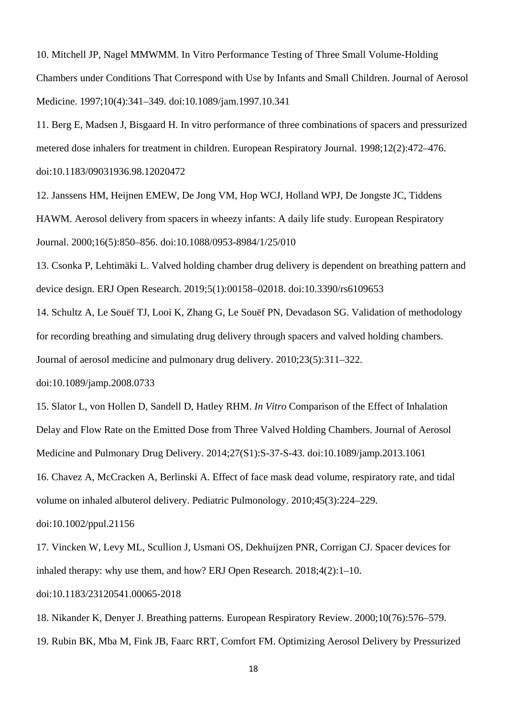10. Mitchell JP, Nagel MMWMM. In Vitro Performance Testing of Three Small Volume-Holding Chambers under Conditions That Correspond with Use by Infants and Small Children. Journal of Aerosol Medicine. 1997;10(4):341–349. doi:10.1089/jam.1997.10.341

11. Berg E, Madsen J, Bisgaard H. In vitro performance of three combinations of spacers and pressurized metered dose inhalers for treatment in children. European Respiratory Journal. 1998;12(2):472–476. doi:10.1183/09031936.98.12020472

12. Janssens HM, Heijnen EMEW, De Jong VM, Hop WCJ, Holland WPJ, De Jongste JC, Tiddens HAWM. Aerosol delivery from spacers in wheezy infants: A daily life study. European Respiratory Journal. 2000;16(5):850–856. doi:10.1088/0953-8984/1/25/010

13. Csonka P, Lehtimäki L. Valved holding chamber drug delivery is dependent on breathing pattern and device design. ERJ Open Research. 2019;5(1):00158–02018. doi:10.3390/rs6109653

14. Schultz A, Le Souëf TJ, Looi K, Zhang G, Le Souëf PN, Devadason SG. Validation of methodology for recording breathing and simulating drug delivery through spacers and valved holding chambers. Journal of aerosol medicine and pulmonary drug delivery. 2010;23(5):311–322.

doi:10.1089/jamp.2008.0733

15. Slator L, von Hollen D, Sandell D, Hatley RHM. *In Vitro* Comparison of the Effect of Inhalation Delay and Flow Rate on the Emitted Dose from Three Valved Holding Chambers. Journal of Aerosol Medicine and Pulmonary Drug Delivery. 2014;27(S1):S-37-S-43. doi:10.1089/jamp.2013.1061

16. Chavez A, McCracken A, Berlinski A. Effect of face mask dead volume, respiratory rate, and tidal volume on inhaled albuterol delivery. Pediatric Pulmonology. 2010;45(3):224–229.

doi:10.1002/ppul.21156

17. Vincken W, Levy ML, Scullion J, Usmani OS, Dekhuijzen PNR, Corrigan CJ. Spacer devices for inhaled therapy: why use them, and how? ERJ Open Research. 2018;4(2):1–10.

doi:10.1183/23120541.00065-2018

18. Nikander K, Denyer J. Breathing patterns. European Respiratory Review. 2000;10(76):576–579. 19. Rubin BK, Mba M, Fink JB, Faarc RRT, Comfort FM. Optimizing Aerosol Delivery by Pressurized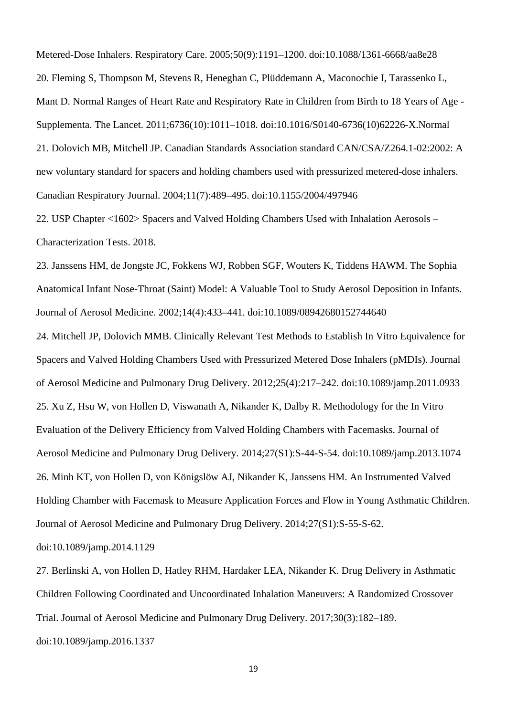Metered-Dose Inhalers. Respiratory Care. 2005;50(9):1191–1200. doi:10.1088/1361-6668/aa8e28 20. Fleming S, Thompson M, Stevens R, Heneghan C, Plüddemann A, Maconochie I, Tarassenko L, Mant D. Normal Ranges of Heart Rate and Respiratory Rate in Children from Birth to 18 Years of Age - Supplementa. The Lancet. 2011;6736(10):1011–1018. doi:10.1016/S0140-6736(10)62226-X.Normal 21. Dolovich MB, Mitchell JP. Canadian Standards Association standard CAN/CSA/Z264.1-02:2002: A new voluntary standard for spacers and holding chambers used with pressurized metered-dose inhalers. Canadian Respiratory Journal. 2004;11(7):489–495. doi:10.1155/2004/497946

22. USP Chapter <1602> Spacers and Valved Holding Chambers Used with Inhalation Aerosols – Characterization Tests. 2018.

23. Janssens HM, de Jongste JC, Fokkens WJ, Robben SGF, Wouters K, Tiddens HAWM. The Sophia Anatomical Infant Nose-Throat (Saint) Model: A Valuable Tool to Study Aerosol Deposition in Infants. Journal of Aerosol Medicine. 2002;14(4):433–441. doi:10.1089/08942680152744640

24. Mitchell JP, Dolovich MMB. Clinically Relevant Test Methods to Establish In Vitro Equivalence for Spacers and Valved Holding Chambers Used with Pressurized Metered Dose Inhalers (pMDIs). Journal of Aerosol Medicine and Pulmonary Drug Delivery. 2012;25(4):217–242. doi:10.1089/jamp.2011.0933 25. Xu Z, Hsu W, von Hollen D, Viswanath A, Nikander K, Dalby R. Methodology for the In Vitro Evaluation of the Delivery Efficiency from Valved Holding Chambers with Facemasks. Journal of Aerosol Medicine and Pulmonary Drug Delivery. 2014;27(S1):S-44-S-54. doi:10.1089/jamp.2013.1074 26. Minh KT, von Hollen D, von Königslöw AJ, Nikander K, Janssens HM. An Instrumented Valved Holding Chamber with Facemask to Measure Application Forces and Flow in Young Asthmatic Children. Journal of Aerosol Medicine and Pulmonary Drug Delivery. 2014;27(S1):S-55-S-62.

doi:10.1089/jamp.2014.1129

27. Berlinski A, von Hollen D, Hatley RHM, Hardaker LEA, Nikander K. Drug Delivery in Asthmatic Children Following Coordinated and Uncoordinated Inhalation Maneuvers: A Randomized Crossover Trial. Journal of Aerosol Medicine and Pulmonary Drug Delivery. 2017;30(3):182–189.

doi:10.1089/jamp.2016.1337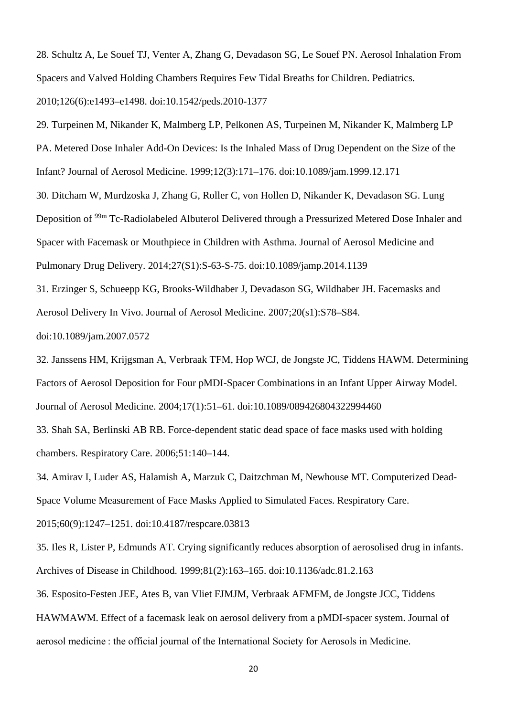28. Schultz A, Le Souef TJ, Venter A, Zhang G, Devadason SG, Le Souef PN. Aerosol Inhalation From Spacers and Valved Holding Chambers Requires Few Tidal Breaths for Children. Pediatrics. 2010;126(6):e1493–e1498. doi:10.1542/peds.2010-1377

29. Turpeinen M, Nikander K, Malmberg LP, Pelkonen AS, Turpeinen M, Nikander K, Malmberg LP PA. Metered Dose Inhaler Add-On Devices: Is the Inhaled Mass of Drug Dependent on the Size of the Infant? Journal of Aerosol Medicine. 1999;12(3):171–176. doi:10.1089/jam.1999.12.171

30. Ditcham W, Murdzoska J, Zhang G, Roller C, von Hollen D, Nikander K, Devadason SG. Lung Deposition of 99m Tc-Radiolabeled Albuterol Delivered through a Pressurized Metered Dose Inhaler and Spacer with Facemask or Mouthpiece in Children with Asthma. Journal of Aerosol Medicine and Pulmonary Drug Delivery. 2014;27(S1):S-63-S-75. doi:10.1089/jamp.2014.1139

31. Erzinger S, Schueepp KG, Brooks-Wildhaber J, Devadason SG, Wildhaber JH. Facemasks and Aerosol Delivery In Vivo. Journal of Aerosol Medicine. 2007;20(s1):S78–S84.

doi:10.1089/jam.2007.0572

32. Janssens HM, Krijgsman A, Verbraak TFM, Hop WCJ, de Jongste JC, Tiddens HAWM. Determining Factors of Aerosol Deposition for Four pMDI-Spacer Combinations in an Infant Upper Airway Model. Journal of Aerosol Medicine. 2004;17(1):51–61. doi:10.1089/089426804322994460

33. Shah SA, Berlinski AB RB. Force-dependent static dead space of face masks used with holding chambers. Respiratory Care. 2006;51:140–144.

34. Amirav I, Luder AS, Halamish A, Marzuk C, Daitzchman M, Newhouse MT. Computerized Dead-Space Volume Measurement of Face Masks Applied to Simulated Faces. Respiratory Care.

2015;60(9):1247–1251. doi:10.4187/respcare.03813

35. Iles R, Lister P, Edmunds AT. Crying significantly reduces absorption of aerosolised drug in infants. Archives of Disease in Childhood. 1999;81(2):163–165. doi:10.1136/adc.81.2.163

36. Esposito-Festen JEE, Ates B, van Vliet FJMJM, Verbraak AFMFM, de Jongste JCC, Tiddens

HAWMAWM. Effect of a facemask leak on aerosol delivery from a pMDI-spacer system. Journal of

aerosol medicine : the official journal of the International Society for Aerosols in Medicine.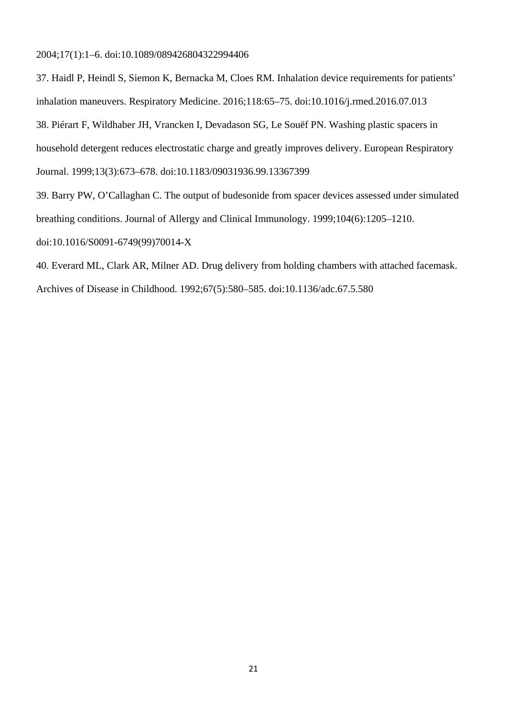2004;17(1):1–6. doi:10.1089/089426804322994406

37. Haidl P, Heindl S, Siemon K, Bernacka M, Cloes RM. Inhalation device requirements for patients' inhalation maneuvers. Respiratory Medicine. 2016;118:65–75. doi:10.1016/j.rmed.2016.07.013 38. Piérart F, Wildhaber JH, Vrancken I, Devadason SG, Le Souëf PN. Washing plastic spacers in household detergent reduces electrostatic charge and greatly improves delivery. European Respiratory Journal. 1999;13(3):673–678. doi:10.1183/09031936.99.13367399

39. Barry PW, O'Callaghan C. The output of budesonide from spacer devices assessed under simulated breathing conditions. Journal of Allergy and Clinical Immunology. 1999;104(6):1205–1210. doi:10.1016/S0091-6749(99)70014-X

40. Everard ML, Clark AR, Milner AD. Drug delivery from holding chambers with attached facemask. Archives of Disease in Childhood. 1992;67(5):580–585. doi:10.1136/adc.67.5.580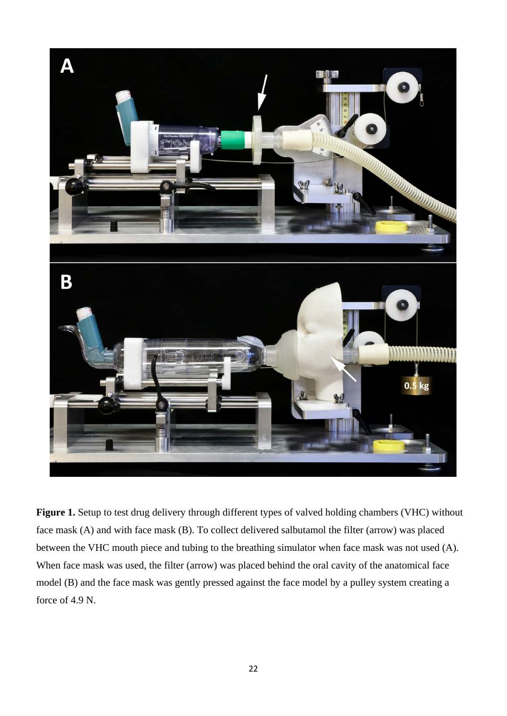

**Figure 1.** Setup to test drug delivery through different types of valved holding chambers (VHC) without face mask (A) and with face mask (B). To collect delivered salbutamol the filter (arrow) was placed between the VHC mouth piece and tubing to the breathing simulator when face mask was not used (A). When face mask was used, the filter (arrow) was placed behind the oral cavity of the anatomical face model (B) and the face mask was gently pressed against the face model by a pulley system creating a force of 4.9 N.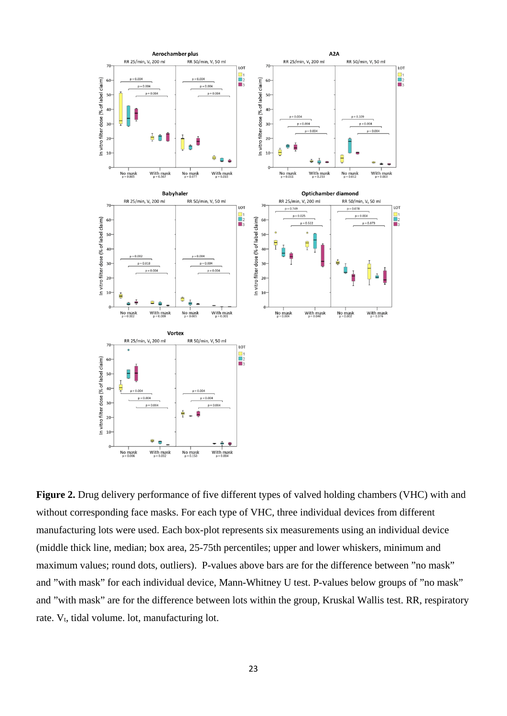

**Figure 2.** Drug delivery performance of five different types of valved holding chambers (VHC) with and without corresponding face masks. For each type of VHC, three individual devices from different manufacturing lots were used. Each box-plot represents six measurements using an individual device (middle thick line, median; box area, 25-75th percentiles; upper and lower whiskers, minimum and maximum values; round dots, outliers). P-values above bars are for the difference between "no mask" and "with mask" for each individual device, Mann-Whitney U test. P-values below groups of "no mask" and "with mask" are for the difference between lots within the group, Kruskal Wallis test. RR, respiratory rate. V<sub>t</sub>, tidal volume. lot, manufacturing lot.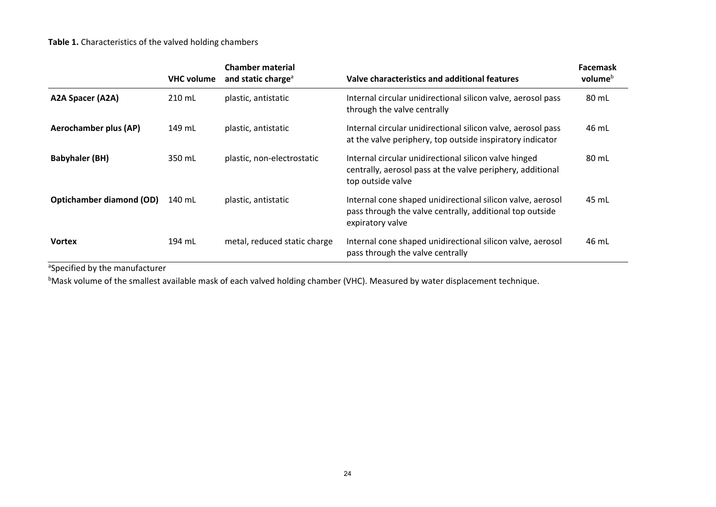# **Table 1.** Characteristics of the valved holding chambers

|                                 | <b>VHC volume</b> | <b>Chamber material</b><br>and static charge <sup>a</sup> | Valve characteristics and additional features                                                                                              | <b>Facemask</b><br>volume <sup>b</sup> |
|---------------------------------|-------------------|-----------------------------------------------------------|--------------------------------------------------------------------------------------------------------------------------------------------|----------------------------------------|
| A2A Spacer (A2A)                | 210 mL            | plastic, antistatic                                       | Internal circular unidirectional silicon valve, aerosol pass<br>through the valve centrally                                                | 80 mL                                  |
| <b>Aerochamber plus (AP)</b>    | 149 mL            | plastic, antistatic                                       | Internal circular unidirectional silicon valve, aerosol pass<br>at the valve periphery, top outside inspiratory indicator                  | 46 mL                                  |
| <b>Babyhaler (BH)</b>           | 350 mL            | plastic, non-electrostatic                                | Internal circular unidirectional silicon valve hinged<br>centrally, aerosol pass at the valve periphery, additional<br>top outside valve   | 80 mL                                  |
| <b>Optichamber diamond (OD)</b> | 140 mL            | plastic, antistatic                                       | Internal cone shaped unidirectional silicon valve, aerosol<br>pass through the valve centrally, additional top outside<br>expiratory valve | 45 mL                                  |
| <b>Vortex</b>                   | 194 mL            | metal, reduced static charge                              | Internal cone shaped unidirectional silicon valve, aerosol<br>pass through the valve centrally                                             | 46 mL                                  |

<sup>a</sup>Specified by the manufacturer

<sup>b</sup>Mask volume of the smallest available mask of each valved holding chamber (VHC). Measured by water displacement technique.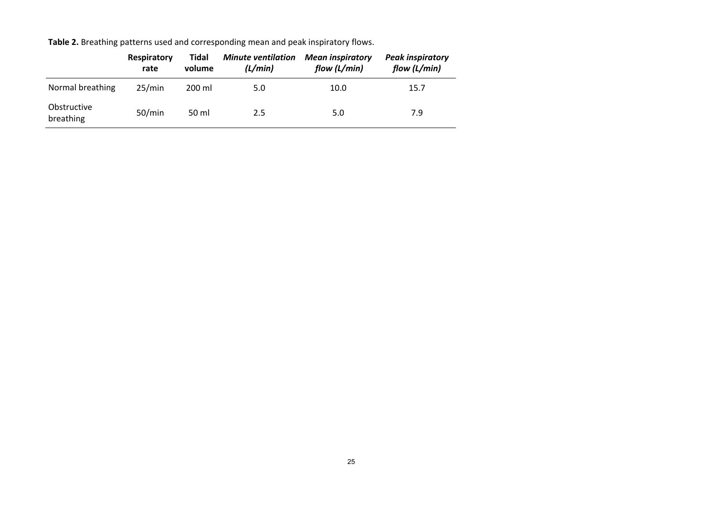**Table 2.** Breathing patterns used and corresponding mean and peak inspiratory flows.

|                          | Respiratory<br>rate | Tidal<br>volume | <b>Minute ventilation</b><br>(L/min) | <b>Mean inspiratory</b><br>flow (L/min) | <b>Peak inspiratory</b><br>flow (L/min) |
|--------------------------|---------------------|-----------------|--------------------------------------|-----------------------------------------|-----------------------------------------|
| Normal breathing         | 25/min              | 200 ml          | 5.0                                  | 10.0                                    | 15.7                                    |
| Obstructive<br>breathing | 50/min              | 50 ml           | 2.5                                  | 5.0                                     | 7.9                                     |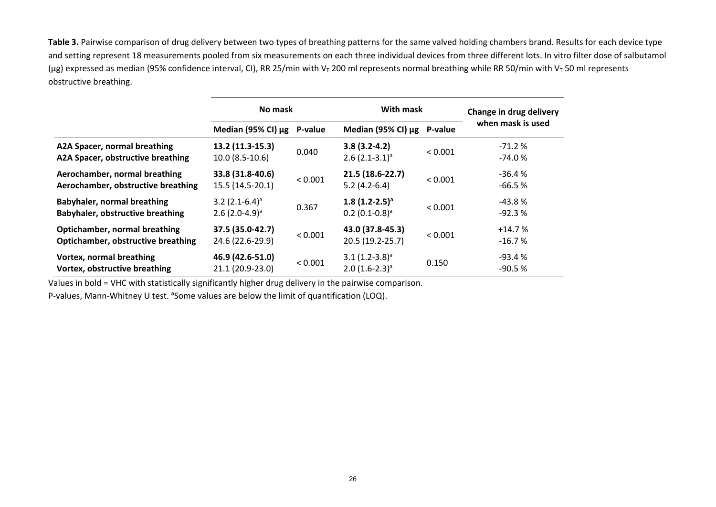**Table 3.** Pairwise comparison of drug delivery between two types of breathing patterns for the same valved holding chambers brand. Results for each device type and setting represent 18 measurements pooled from six measurements on each three individual devices from three different lots. In vitro filter dose of salbutamol (µg) expressed as median (95% confidence interval, CI), RR 25/min with V<sub>T</sub> 200 ml represents normal breathing while RR 50/min with V<sub>T</sub> 50 ml represents obstructive breathing.

|                                                                            | No mask                                                      |         | With mask                                        | Change in drug delivery |                      |
|----------------------------------------------------------------------------|--------------------------------------------------------------|---------|--------------------------------------------------|-------------------------|----------------------|
|                                                                            | Median (95% CI) μg                                           | P-value | Median (95% CI) μg                               | P-value                 | when mask is used    |
| A2A Spacer, normal breathing<br>A2A Spacer, obstructive breathing          | 13.2 (11.3-15.3)<br>$10.0(8.5-10.6)$                         | 0.040   | $3.8(3.2-4.2)$<br>$2.6$ $(2.1-3.1)^a$            | < 0.001                 | $-71.2%$<br>$-74.0%$ |
| Aerochamber, normal breathing<br>Aerochamber, obstructive breathing        | 33.8 (31.8-40.6)<br>15.5 (14.5-20.1)                         | < 0.001 | 21.5 (18.6-22.7)<br>$5.2(4.2-6.4)$               | < 0.001                 | $-36.4%$<br>$-66.5%$ |
| Babyhaler, normal breathing<br><b>Babyhaler, obstructive breathing</b>     | $3.2$ (2.1-6.4) <sup>a</sup><br>$2.6$ (2.0-4.9) <sup>a</sup> | 0.367   | $1.8(1.2-2.5)^a$<br>$0.2$ (0.1-0.8) <sup>a</sup> | < 0.001                 | $-43.8%$<br>$-92.3%$ |
| Optichamber, normal breathing<br><b>Optichamber, obstructive breathing</b> | 37.5 (35.0-42.7)<br>24.6 (22.6-29.9)                         | < 0.001 | 43.0 (37.8-45.3)<br>20.5 (19.2-25.7)             | < 0.001                 | $+14.7%$<br>$-16.7%$ |
| <b>Vortex, normal breathing</b><br>Vortex, obstructive breathing           | 46.9 (42.6-51.0)<br>21.1 (20.9-23.0)                         | < 0.001 | $3.1 (1.2 - 3.8)^a$<br>$2.0(1.6-2.3)^a$          | 0.150                   | $-93.4%$<br>$-90.5%$ |

Values in bold = VHC with statistically significantly higher drug delivery in the pairwise comparison.

P-values, Mann-Whitney U test. <sup>a</sup> Some values are below the limit of quantification (LOQ).